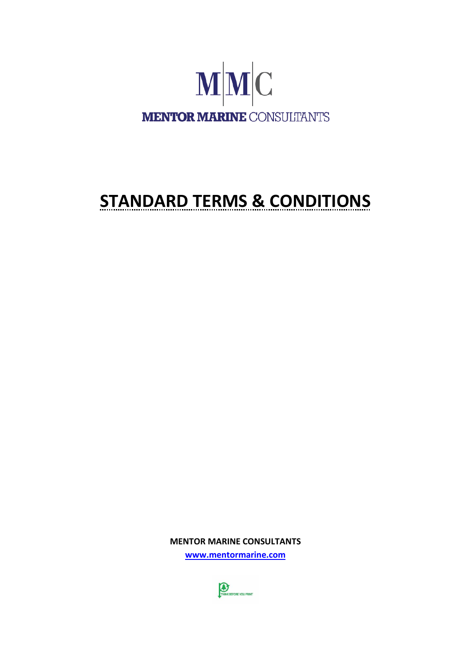

# **STANDARD TERMS & CONDITIONS**

**MENTOR MARINE CONSULTANTS [www.mentormarine.com](http://www.mentormarine.com/)**

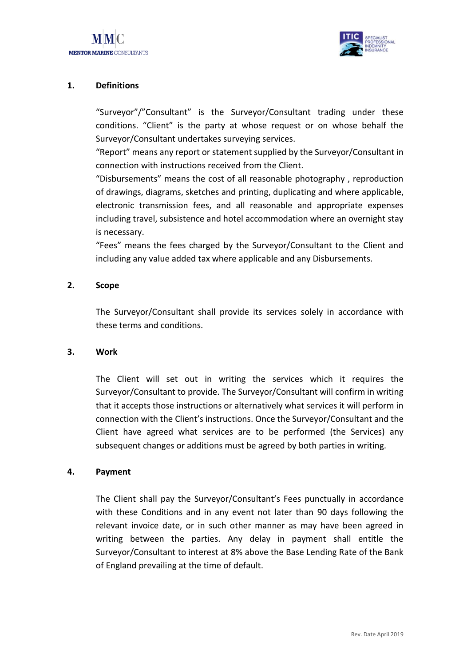

# **1. Definitions**

"Surveyor"/"Consultant" is the Surveyor/Consultant trading under these conditions. "Client" is the party at whose request or on whose behalf the Surveyor/Consultant undertakes surveying services.

"Report" means any report or statement supplied by the Surveyor/Consultant in connection with instructions received from the Client.

"Disbursements" means the cost of all reasonable photography , reproduction of drawings, diagrams, sketches and printing, duplicating and where applicable, electronic transmission fees, and all reasonable and appropriate expenses including travel, subsistence and hotel accommodation where an overnight stay is necessary.

"Fees" means the fees charged by the Surveyor/Consultant to the Client and including any value added tax where applicable and any Disbursements.

#### **2. Scope**

The Surveyor/Consultant shall provide its services solely in accordance with these terms and conditions.

#### **3. Work**

The Client will set out in writing the services which it requires the Surveyor/Consultant to provide. The Surveyor/Consultant will confirm in writing that it accepts those instructions or alternatively what services it will perform in connection with the Client's instructions. Once the Surveyor/Consultant and the Client have agreed what services are to be performed (the Services) any subsequent changes or additions must be agreed by both parties in writing.

#### **4. Payment**

The Client shall pay the Surveyor/Consultant's Fees punctually in accordance with these Conditions and in any event not later than 90 days following the relevant invoice date, or in such other manner as may have been agreed in writing between the parties. Any delay in payment shall entitle the Surveyor/Consultant to interest at 8% above the Base Lending Rate of the Bank of England prevailing at the time of default.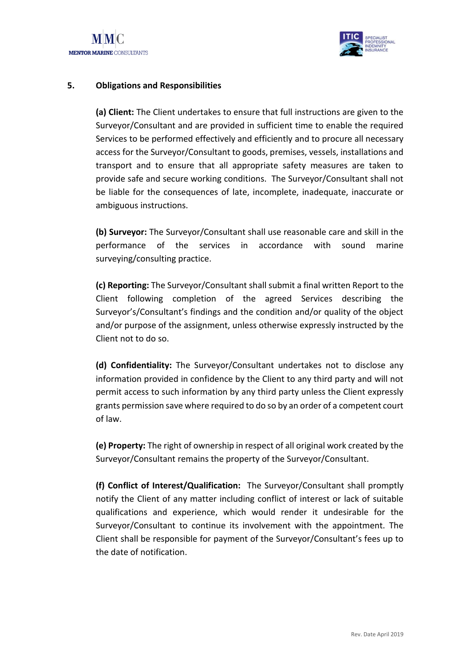

### **5. Obligations and Responsibilities**

**(a) Client:** The Client undertakes to ensure that full instructions are given to the Surveyor/Consultant and are provided in sufficient time to enable the required Services to be performed effectively and efficiently and to procure all necessary access for the Surveyor/Consultant to goods, premises, vessels, installations and transport and to ensure that all appropriate safety measures are taken to provide safe and secure working conditions. The Surveyor/Consultant shall not be liable for the consequences of late, incomplete, inadequate, inaccurate or ambiguous instructions.

**(b) Surveyor:** The Surveyor/Consultant shall use reasonable care and skill in the performance of the services in accordance with sound marine surveying/consulting practice.

**(c) Reporting:** The Surveyor/Consultant shall submit a final written Report to the Client following completion of the agreed Services describing the Surveyor's/Consultant's findings and the condition and/or quality of the object and/or purpose of the assignment, unless otherwise expressly instructed by the Client not to do so.

**(d) Confidentiality:** The Surveyor/Consultant undertakes not to disclose any information provided in confidence by the Client to any third party and will not permit access to such information by any third party unless the Client expressly grants permission save where required to do so by an order of a competent court of law.

**(e) Property:** The right of ownership in respect of all original work created by the Surveyor/Consultant remains the property of the Surveyor/Consultant.

**(f) Conflict of Interest/Qualification:** The Surveyor/Consultant shall promptly notify the Client of any matter including conflict of interest or lack of suitable qualifications and experience, which would render it undesirable for the Surveyor/Consultant to continue its involvement with the appointment. The Client shall be responsible for payment of the Surveyor/Consultant's fees up to the date of notification.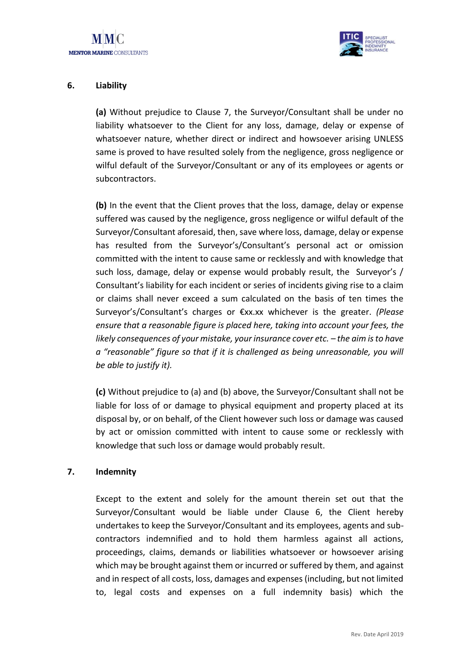

# **6. Liability**

**(a)** Without prejudice to Clause 7, the Surveyor/Consultant shall be under no liability whatsoever to the Client for any loss, damage, delay or expense of whatsoever nature, whether direct or indirect and howsoever arising UNLESS same is proved to have resulted solely from the negligence, gross negligence or wilful default of the Surveyor/Consultant or any of its employees or agents or subcontractors.

**(b)** In the event that the Client proves that the loss, damage, delay or expense suffered was caused by the negligence, gross negligence or wilful default of the Surveyor/Consultant aforesaid, then, save where loss, damage, delay or expense has resulted from the Surveyor's/Consultant's personal act or omission committed with the intent to cause same or recklessly and with knowledge that such loss, damage, delay or expense would probably result, the Surveyor's / Consultant's liability for each incident or series of incidents giving rise to a claim or claims shall never exceed a sum calculated on the basis of ten times the Surveyor's/Consultant's charges or €xx.xx whichever is the greater. *(Please ensure that a reasonable figure is placed here, taking into account your fees, the likely consequences of your mistake, your insurance cover etc.*  $-$  *the aim is to have a "reasonable" figure so that if it is challenged as being unreasonable, you will be able to justify it).*

**(c)** Without prejudice to (a) and (b) above, the Surveyor/Consultant shall not be liable for loss of or damage to physical equipment and property placed at its disposal by, or on behalf, of the Client however such loss or damage was caused by act or omission committed with intent to cause some or recklessly with knowledge that such loss or damage would probably result.

#### **7. Indemnity**

Except to the extent and solely for the amount therein set out that the Surveyor/Consultant would be liable under Clause 6, the Client hereby undertakes to keep the Surveyor/Consultant and its employees, agents and subcontractors indemnified and to hold them harmless against all actions, proceedings, claims, demands or liabilities whatsoever or howsoever arising which may be brought against them or incurred or suffered by them, and against and in respect of all costs, loss, damages and expenses (including, but not limited to, legal costs and expenses on a full indemnity basis) which the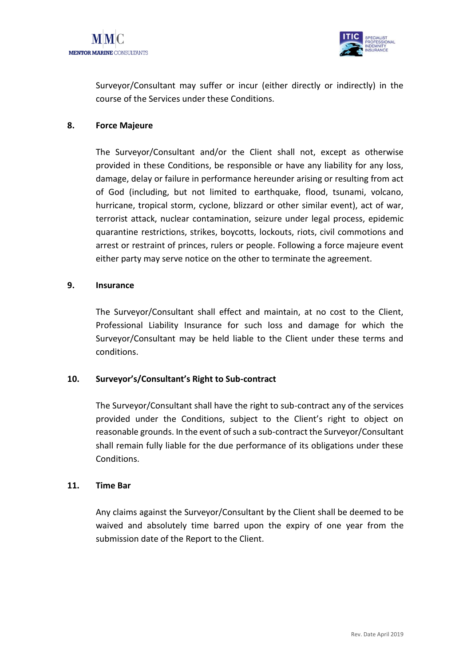

Surveyor/Consultant may suffer or incur (either directly or indirectly) in the course of the Services under these Conditions.

# **8. Force Majeure**

The Surveyor/Consultant and/or the Client shall not, except as otherwise provided in these Conditions, be responsible or have any liability for any loss, damage, delay or failure in performance hereunder arising or resulting from act of God (including, but not limited to earthquake, flood, tsunami, volcano, hurricane, tropical storm, cyclone, blizzard or other similar event), act of war, terrorist attack, nuclear contamination, seizure under legal process, epidemic quarantine restrictions, strikes, boycotts, lockouts, riots, civil commotions and arrest or restraint of princes, rulers or people. Following a force majeure event either party may serve notice on the other to terminate the agreement.

#### **9. Insurance**

The Surveyor/Consultant shall effect and maintain, at no cost to the Client, Professional Liability Insurance for such loss and damage for which the Surveyor/Consultant may be held liable to the Client under these terms and conditions.

# **10. Surveyor's/Consultant's Right to Sub-contract**

The Surveyor/Consultant shall have the right to sub-contract any of the services provided under the Conditions, subject to the Client's right to object on reasonable grounds. In the event of such a sub-contract the Surveyor/Consultant shall remain fully liable for the due performance of its obligations under these Conditions.

#### **11. Time Bar**

Any claims against the Surveyor/Consultant by the Client shall be deemed to be waived and absolutely time barred upon the expiry of one year from the submission date of the Report to the Client.